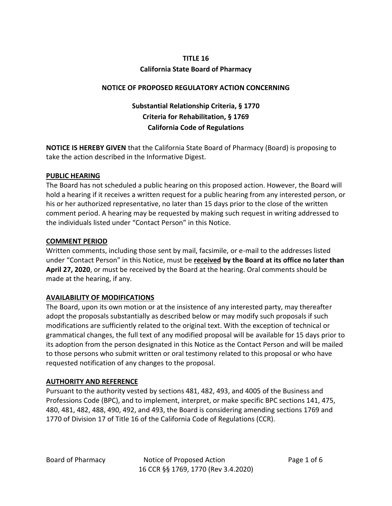#### **TITLE 16**

### **California State Board of Pharmacy**

### **NOTICE OF PROPOSED REGULATORY ACTION CONCERNING**

# **Substantial Relationship Criteria, § 1770 Criteria for Rehabilitation, § 1769 California Code of Regulations**

**NOTICE IS HEREBY GIVEN** that the California State Board of Pharmacy (Board) is proposing to take the action described in the Informative Digest.

#### **PUBLIC HEARING**

The Board has not scheduled a public hearing on this proposed action. However, the Board will hold a hearing if it receives a written request for a public hearing from any interested person, or his or her authorized representative, no later than 15 days prior to the close of the written comment period. A hearing may be requested by making such request in writing addressed to the individuals listed under "Contact Person" in this Notice.

### **COMMENT PERIOD**

Written comments, including those sent by mail, facsimile, or e-mail to the addresses listed under "Contact Person" in this Notice, must be **received by the Board at its office no later than April 27, 2020**, or must be received by the Board at the hearing. Oral comments should be made at the hearing, if any.

### **AVAILABILITY OF MODIFICATIONS**

The Board, upon its own motion or at the insistence of any interested party, may thereafter adopt the proposals substantially as described below or may modify such proposals if such modifications are sufficiently related to the original text. With the exception of technical or grammatical changes, the full text of any modified proposal will be available for 15 days prior to its adoption from the person designated in this Notice as the Contact Person and will be mailed to those persons who submit written or oral testimony related to this proposal or who have requested notification of any changes to the proposal.

### **AUTHORITY AND REFERENCE**

Pursuant to the authority vested by sections 481, 482, 493, and 4005 of the Business and Professions Code (BPC), and to implement, interpret, or make specific BPC sections 141, 475, 480, 481, 482, 488, 490, 492, and 493, the Board is considering amending sections 1769 and 1770 of Division 17 of Title 16 of the California Code of Regulations (CCR).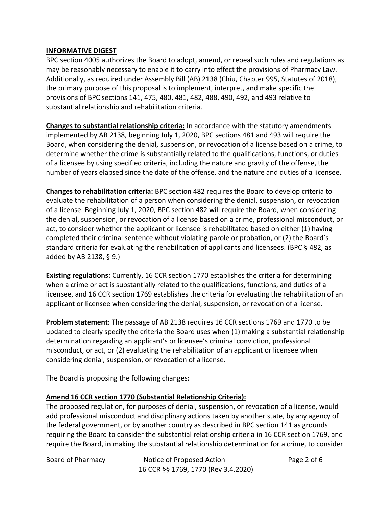#### **INFORMATIVE DIGEST**

BPC section 4005 authorizes the Board to adopt, amend, or repeal such rules and regulations as may be reasonably necessary to enable it to carry into effect the provisions of Pharmacy Law. Additionally, as required under Assembly Bill (AB) 2138 (Chiu, Chapter 995, Statutes of 2018), the primary purpose of this proposal is to implement, interpret, and make specific the provisions of BPC sections 141, 475, 480, 481, 482, 488, 490, 492, and 493 relative to substantial relationship and rehabilitation criteria.

**Changes to substantial relationship criteria:** In accordance with the statutory amendments implemented by AB 2138, beginning July 1, 2020, BPC sections 481 and 493 will require the Board, when considering the denial, suspension, or revocation of a license based on a crime, to determine whether the crime is substantially related to the qualifications, functions, or duties of a licensee by using specified criteria, including the nature and gravity of the offense, the number of years elapsed since the date of the offense, and the nature and duties of a licensee.

**Changes to rehabilitation criteria:** BPC section 482 requires the Board to develop criteria to evaluate the rehabilitation of a person when considering the denial, suspension, or revocation of a license. Beginning July 1, 2020, BPC section 482 will require the Board, when considering the denial, suspension, or revocation of a license based on a crime, professional misconduct, or act, to consider whether the applicant or licensee is rehabilitated based on either (1) having completed their criminal sentence without violating parole or probation, or (2) the Board's standard criteria for evaluating the rehabilitation of applicants and licensees. (BPC § 482, as added by AB 2138, § 9.)

**Existing regulations:** Currently, 16 CCR section 1770 establishes the criteria for determining when a crime or act is substantially related to the qualifications, functions, and duties of a licensee, and 16 CCR section 1769 establishes the criteria for evaluating the rehabilitation of an applicant or licensee when considering the denial, suspension, or revocation of a license.

**Problem statement:** The passage of AB 2138 requires 16 CCR sections 1769 and 1770 to be updated to clearly specify the criteria the Board uses when (1) making a substantial relationship determination regarding an applicant's or licensee's criminal conviction, professional misconduct, or act, or (2) evaluating the rehabilitation of an applicant or licensee when considering denial, suspension, or revocation of a license.

The Board is proposing the following changes:

### **Amend 16 CCR section 1770 (Substantial Relationship Criteria):**

The proposed regulation, for purposes of denial, suspension, or revocation of a license, would add professional misconduct and disciplinary actions taken by another state, by any agency of the federal government, or by another country as described in BPC section 141 as grounds requiring the Board to consider the substantial relationship criteria in 16 CCR section 1769, and require the Board, in making the substantial relationship determination for a crime, to consider

Board of Pharmacy **Notice of Proposed Action** Page 2 of 6 16 CCR §§ 1769, 1770 (Rev 3.4.2020)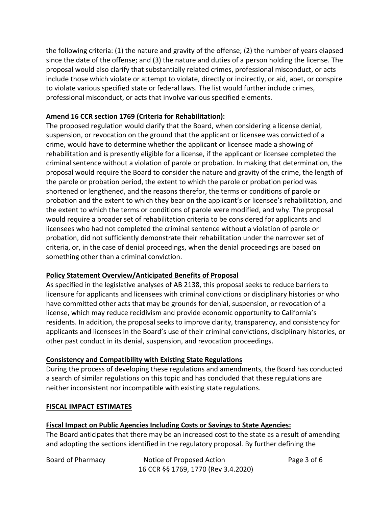the following criteria: (1) the nature and gravity of the offense; (2) the number of years elapsed since the date of the offense; and (3) the nature and duties of a person holding the license. The proposal would also clarify that substantially related crimes, professional misconduct, or acts include those which violate or attempt to violate, directly or indirectly, or aid, abet, or conspire to violate various specified state or federal laws. The list would further include crimes, professional misconduct, or acts that involve various specified elements.

### **Amend 16 CCR section 1769 (Criteria for Rehabilitation):**

The proposed regulation would clarify that the Board, when considering a license denial, suspension, or revocation on the ground that the applicant or licensee was convicted of a crime, would have to determine whether the applicant or licensee made a showing of rehabilitation and is presently eligible for a license, if the applicant or licensee completed the criminal sentence without a violation of parole or probation. In making that determination, the proposal would require the Board to consider the nature and gravity of the crime, the length of the parole or probation period, the extent to which the parole or probation period was shortened or lengthened, and the reasons therefor, the terms or conditions of parole or probation and the extent to which they bear on the applicant's or licensee's rehabilitation, and the extent to which the terms or conditions of parole were modified, and why. The proposal would require a broader set of rehabilitation criteria to be considered for applicants and licensees who had not completed the criminal sentence without a violation of parole or probation, did not sufficiently demonstrate their rehabilitation under the narrower set of criteria, or, in the case of denial proceedings, when the denial proceedings are based on something other than a criminal conviction.

## **Policy Statement Overview/Anticipated Benefits of Proposal**

As specified in the legislative analyses of AB 2138, this proposal seeks to reduce barriers to licensure for applicants and licensees with criminal convictions or disciplinary histories or who have committed other acts that may be grounds for denial, suspension, or revocation of a license, which may reduce recidivism and provide economic opportunity to California's residents. In addition, the proposal seeks to improve clarity, transparency, and consistency for applicants and licensees in the Board's use of their criminal convictions, disciplinary histories, or other past conduct in its denial, suspension, and revocation proceedings.

### **Consistency and Compatibility with Existing State Regulations**

During the process of developing these regulations and amendments, the Board has conducted a search of similar regulations on this topic and has concluded that these regulations are neither inconsistent nor incompatible with existing state regulations.

### **FISCAL IMPACT ESTIMATES**

### **Fiscal Impact on Public Agencies Including Costs or Savings to State Agencies:**

The Board anticipates that there may be an increased cost to the state as a result of amending and adopting the sections identified in the regulatory proposal. By further defining the

Board of Pharmacy **Notice of Proposed Action** Page 3 of 6 16 CCR §§ 1769, 1770 (Rev 3.4.2020)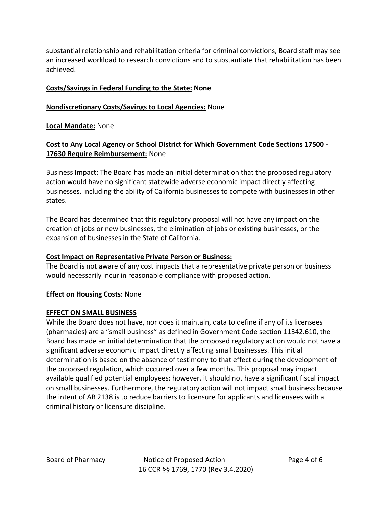substantial relationship and rehabilitation criteria for criminal convictions, Board staff may see an increased workload to research convictions and to substantiate that rehabilitation has been achieved.

### **Costs/Savings in Federal Funding to the State: None**

### **Nondiscretionary Costs/Savings to Local Agencies:** None

### **Local Mandate:** None

### **Cost to Any Local Agency or School District for Which Government Code Sections 17500 - 17630 Require Reimbursement:** None

Business Impact: The Board has made an initial determination that the proposed regulatory action would have no significant statewide adverse economic impact directly affecting businesses, including the ability of California businesses to compete with businesses in other states.

The Board has determined that this regulatory proposal will not have any impact on the creation of jobs or new businesses, the elimination of jobs or existing businesses, or the expansion of businesses in the State of California.

#### **Cost Impact on Representative Private Person or Business:**

The Board is not aware of any cost impacts that a representative private person or business would necessarily incur in reasonable compliance with proposed action.

### **Effect on Housing Costs:** None

### **EFFECT ON SMALL BUSINESS**

While the Board does not have, nor does it maintain, data to define if any of its licensees (pharmacies) are a "small business" as defined in Government Code section 11342.610, the Board has made an initial determination that the proposed regulatory action would not have a significant adverse economic impact directly affecting small businesses. This initial determination is based on the absence of testimony to that effect during the development of the proposed regulation, which occurred over a few months. This proposal may impact available qualified potential employees; however, it should not have a significant fiscal impact on small businesses. Furthermore, the regulatory action will not impact small business because the intent of AB 2138 is to reduce barriers to licensure for applicants and licensees with a criminal history or licensure discipline.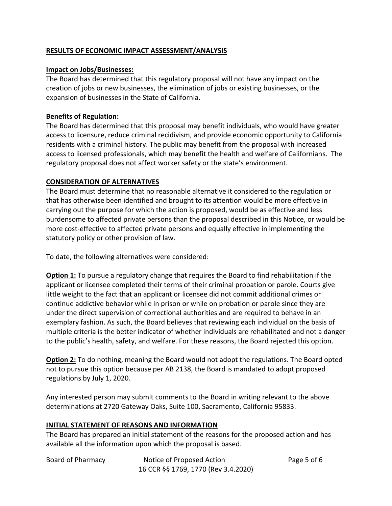### **RESULTS OF ECONOMIC IMPACT ASSESSMENT/ANALYSIS**

#### **Impact on Jobs/Businesses:**

The Board has determined that this regulatory proposal will not have any impact on the creation of jobs or new businesses, the elimination of jobs or existing businesses, or the expansion of businesses in the State of California.

### **Benefits of Regulation:**

The Board has determined that this proposal may benefit individuals, who would have greater access to licensure, reduce criminal recidivism, and provide economic opportunity to California residents with a criminal history. The public may benefit from the proposal with increased access to licensed professionals, which may benefit the health and welfare of Californians. The regulatory proposal does not affect worker safety or the state's environment.

### **CONSIDERATION OF ALTERNATIVES**

The Board must determine that no reasonable alternative it considered to the regulation or that has otherwise been identified and brought to its attention would be more effective in carrying out the purpose for which the action is proposed, would be as effective and less burdensome to affected private persons than the proposal described in this Notice, or would be more cost-effective to affected private persons and equally effective in implementing the statutory policy or other provision of law.

To date, the following alternatives were considered:

**Option 1:** To pursue a regulatory change that requires the Board to find rehabilitation if the applicant or licensee completed their terms of their criminal probation or parole. Courts give little weight to the fact that an applicant or licensee did not commit additional crimes or continue addictive behavior while in prison or while on probation or parole since they are under the direct supervision of correctional authorities and are required to behave in an exemplary fashion. As such, the Board believes that reviewing each individual on the basis of multiple criteria is the better indicator of whether individuals are rehabilitated and not a danger to the public's health, safety, and welfare. For these reasons, the Board rejected this option.

**Option 2:** To do nothing, meaning the Board would not adopt the regulations. The Board opted not to pursue this option because per AB 2138, the Board is mandated to adopt proposed regulations by July 1, 2020.

Any interested person may submit comments to the Board in writing relevant to the above determinations at 2720 Gateway Oaks, Suite 100, Sacramento, California 95833.

#### **INITIAL STATEMENT OF REASONS AND INFORMATION**

The Board has prepared an initial statement of the reasons for the proposed action and has available all the information upon which the proposal is based.

| Board of Pharmacy | Notice of Proposed Action           | Page 5 of 6 |
|-------------------|-------------------------------------|-------------|
|                   | 16 CCR §§ 1769, 1770 (Rev 3.4.2020) |             |